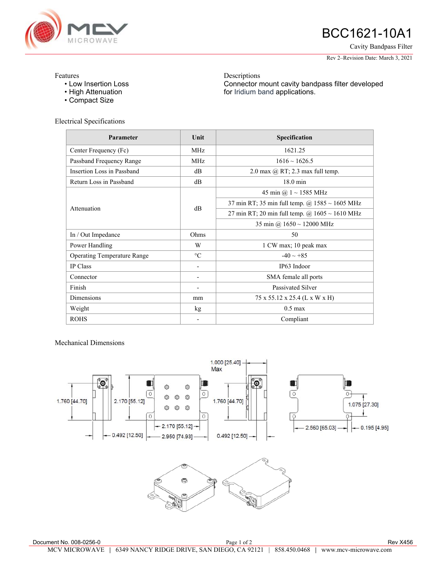

## BCC1621-10A1

Cavity Bandpass Filter

Rev 2–Revision Date: March 3, 2021

## Features

- Low Insertion Loss
- High Attenuation
- Compact Size

Electrical Specifications

**Parameter Unit Unit Specification** Center Frequency (Fc) MHz MHz 1621.25 Passband Frequency Range MHz MHz 1616 ~ 1626.5 Insertion Loss in Passband dB dB 2.0 max @ RT; 2.3 max full temp. Return Loss in Passband dB dB 18.0 min Attenuation dB 45 min @ 1 ~ 1585 MHz 37 min RT; 35 min full temp.  $\omega$  1585 ~ 1605 MHz 27 min RT; 20 min full temp.  $@$  1605 ~ 1610 MHz 35 min @ 1650 ~ 12000 MHz In / Out Impedance 0hms 50 Power Handling N W 1 CW max; 10 peak max Operating Temperature Range  $\degree$ C  $\degree$  -40 ~ +85 IP Class **IP63** Indoor Connector **- SMA female all ports** Finish **Finish** - Passivated Silver Dimensions mm  $75 \times 55.12 \times 25.4$  (L x W x H) Weight 1.1 Meight 1.1 Meight 1.1 Meight 1.1 Meight 1.1 Meight 1.1 Meight 1.1 Meight 1.1 Meight 1.1 Meight 1.1 Meight 1.1 Meight 1.1 Meight 1.1 Meight 1.1 Meight 1.1 Meight 1.1 Meight 1.1 Meight 1.1 Meight 1.1 Meight 1.1 Me ROHS Compliant

Descriptions

for Iridium band applications.

Connector mount cavity bandpass filter developed

Mechanical Dimensions